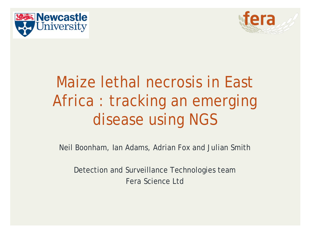



# Maize lethal necrosis in East Africa : tracking an emerging disease using NGS

Neil Boonham, Ian Adams, Adrian Fox and Julian Smith

Detection and Surveillance Technologies team Fera Science Ltd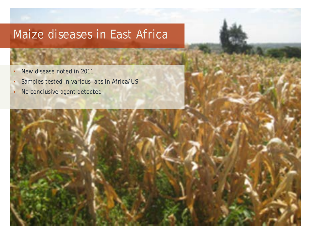#### Maize diseases in East Africa

- New disease noted in 2011
- Samples tested in various labs in Africa/US
- No conclusive agent detected

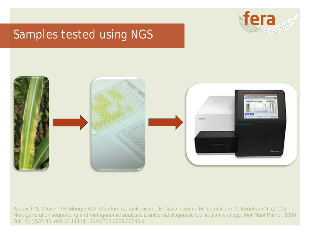

#### Samples tested using NGS



Adams IP1, Glover RH, Monger WA, Mumford R, Jackeviciene E, Navalinskiene M, Samuitiene M, Boonham N. (2009) Next-generation sequencing and metagenomic analysis: a universal diagnostic tool in plant virology. Mol Plant Pathol. 2009 Jul;10(4):537-45. doi: 10.1111/j.1364-3703.2009.00545.x.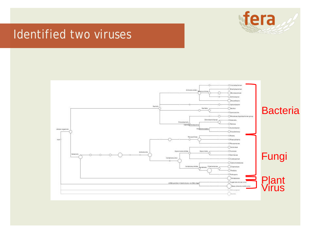

#### Identified two viruses

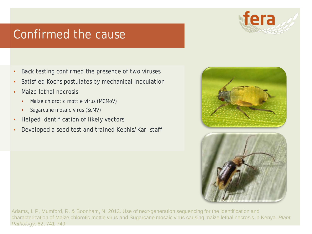#### Confirmed the cause

- Back testing confirmed the presence of two viruses
- Satisfied Kochs postulates by mechanical inoculation
- Maize lethal necrosis
	- Maize chlorotic mottle virus (MCMoV)
	- Sugarcane mosaic virus (ScMV)
- Helped identification of likely vectors
- Developed a seed test and trained Kephis/Kari staff



Adams, I. P, Mumford, R. & Boonham, N. 2013. Use of next-generation sequencing for the identification and characterization of Maize chlorotic mottle virus and Sugarcane mosaic virus causing maize lethal necrosis in Kenya. *Plant Pathology,* 62**,** 741-749

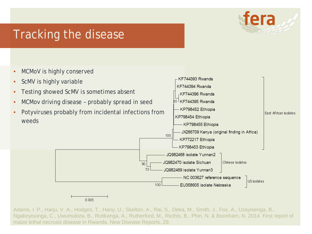

#### Tracking the disease

- MCMoV is highly conserved
- ScMV is highly variable • Testing showed ScMV is sometimes absent • MCMov driving disease - probably spread in seed • Potyviruses probably from incidental infections from weeds



Adams, I. P., Harju, V. A., Hodges, T., Hany, U., Skelton, A., Rai, S., Deka, M., Smith, J., Fox, A., Uzayisenga, B., Ngaboyisonga, C., Uwumukiza, B., Rutikanga, A., Rutherford, M., Ricthis, B., Phiri, N. & Boonham, N. 2014. First report of maize lethal necrosis disease in Rwanda. New Disease Reports, 29.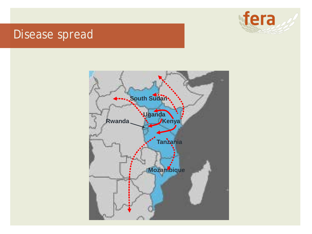

#### Disease spread

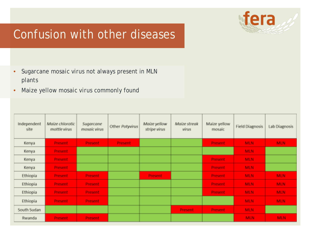

#### Confusion with other diseases

- *Sugarcane mosaic virus* not always present in MLN plants
- *Maize yellow mosaic virus* commonly found

| Independent<br>site. | Maize chlorotic<br>mottle virus | Sugarcane<br>mosaic virus | Other Potyvirus | Maize yellow<br>stripe virus | Maize streak<br>virus | Maize yellow<br>mosaic. | <b>Field Diagnosis</b> | Lab Diagnosis |
|----------------------|---------------------------------|---------------------------|-----------------|------------------------------|-----------------------|-------------------------|------------------------|---------------|
| Kenya.               | Present.                        | Present:                  | Present.        |                              |                       | <b>Present</b>          | MLN.                   | <b>MLN</b>    |
| Kenya                | Present,                        |                           |                 |                              |                       |                         | MLN.                   |               |
| Kenya                | Present,                        |                           |                 |                              |                       | <b>Present</b>          | MLN.                   |               |
| Kenya                | <b>Present</b>                  |                           |                 |                              |                       | Present                 | MLN.                   |               |
| Ethiopia             | <b>Present</b>                  | <b>Present</b>            |                 | <b>Present</b>               |                       | <b>Present</b>          | MLN.                   | MLN.          |
| Ethiopia             | <b>Present</b>                  | Present.                  |                 |                              |                       | Present,                | MLN.                   | MLN.          |
| Ethiopia             | Present.                        | Present.                  |                 |                              |                       | Present,                | MLN.                   | MLN.          |
| Ethiopia             | Present:                        | Present.                  |                 |                              |                       |                         | MLN.                   | MLN.          |
| South Sudan          |                                 |                           |                 |                              | <b>Present</b>        | <b>Present</b>          | <b>MLN</b>             |               |
| <b>Rwanda</b>        | Present,                        | <b>Present</b>            |                 |                              |                       |                         | <b>MLN</b>             | MLN.          |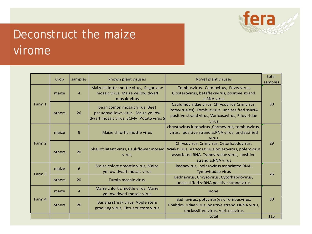

### Deconstruct the maize virome

|                         | Crop                                                                          | samples                                                                                    | known plant viruses                                                                                            | Novel plant viruses                                                                                                                                                  | total<br>samples |  |
|-------------------------|-------------------------------------------------------------------------------|--------------------------------------------------------------------------------------------|----------------------------------------------------------------------------------------------------------------|----------------------------------------------------------------------------------------------------------------------------------------------------------------------|------------------|--|
| maize<br>$\overline{4}$ |                                                                               | Maize chlortic mottle virus, Sugarcane<br>mosaic virus, Maize yellow dwarf<br>mosaic virus | Tombusvirus, Carmovirus, Foveavirus,<br>Closterovirus, betaflexivirus, positive strand<br>ssRNA virus          |                                                                                                                                                                      |                  |  |
| Farm 1                  | others                                                                        | 26                                                                                         | bean comon mosaic virus, Beet<br>pseudoyellows virus, Maize yellow<br>dwarf mosaic virus, SCMV, Potato virus S | Caulumoviridae virus, Chrysovirus, Crinivirus,<br>Potyvirus(es), Tombusvirus, unclassified ssRNA<br>positive strand virus, Varicosavirus, Filoviridae<br>virus       | 30               |  |
|                         | $\mathbf{9}$<br>Maize chlortic mottle virus<br>maize                          |                                                                                            |                                                                                                                | chrystovirus luteovirus, Carmovirus, tombusvirus,<br>virus, positive strand ssRNA virus, unclassified<br>virus                                                       |                  |  |
| Farm 2                  | others                                                                        | 20                                                                                         | Shallot latent virus, Cauliflower mosaic<br>virus,                                                             | Chrysovirus, Crinivirus, Cytorhabdovirus,<br>Waikavirus, Varicosavirus polerovirus, polerovirus<br>associated RNA, Tymoviradae virus, positive<br>strand ssRNA virus | 29               |  |
| Farm 3                  | Maize chlortic mottle virus, Maize<br>6<br>maize<br>yellow dwarf mosaic virus |                                                                                            |                                                                                                                | Badnavirus, polerovirus associated RNA,<br>Tymoviradae virus                                                                                                         | 26               |  |
| others<br>20            |                                                                               |                                                                                            | Turnip mosaic virus,                                                                                           | Badnavirus, Chrysovirus, Cytorhabdovirus,<br>unclassified ssRNA positive strand virus                                                                                |                  |  |
|                         | maize                                                                         | $\overline{4}$                                                                             | Maize chlortic mottle virus, Maize<br>yellow dwarf mosaic virus                                                | none                                                                                                                                                                 |                  |  |
| Farm 4                  | others                                                                        | Banana streak virus, Apple stem<br>26<br>grooving virus, Citrus tristeza virus             |                                                                                                                | Badnavirus, potyvirus(es), Tombusvirus,<br>Rhabdoviridae virus, positive strand ssRNA virus,<br>unclassified virus, Varicosavirus                                    | 30               |  |
|                         |                                                                               |                                                                                            |                                                                                                                | total                                                                                                                                                                | 115              |  |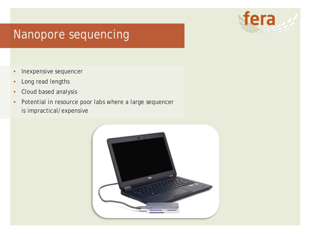

#### Nanopore sequencing

- Inexpensive sequencer
- Long read lengths
- Cloud based analysis
- Potential in resource poor labs where a large sequencer is impractical/expensive

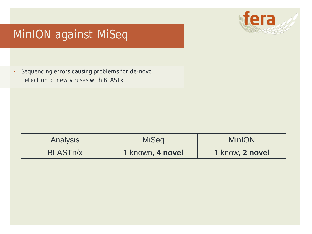

#### MinION against MiSeq

• Sequencing errors causing problems for *de-novo* detection of new viruses with BLASTx

| <b>Analysis</b>       | <b>MiSeg</b>     | <b>MinION</b>   |
|-----------------------|------------------|-----------------|
| BLAST <sub>n</sub> /x | 1 known, 4 novel | 1 know, 2 novel |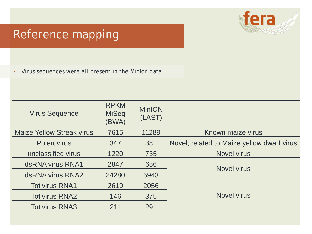

#### Reference mapping

• Virus sequences were all present in the MinIon data

| <b>Virus Sequence</b>            | <b>RPKM</b><br><b>MiSeq</b><br>(BWA) | <b>MinION</b><br>(LAST) |                                            |  |
|----------------------------------|--------------------------------------|-------------------------|--------------------------------------------|--|
| <b>Maize Yellow Streak virus</b> | 7615                                 | 11289                   | Known maize virus                          |  |
| <b>Polerovirus</b>               | 347                                  | 381                     | Novel, related to Maize yellow dwarf virus |  |
| unclassified virus               | 1220                                 | 735                     | <b>Novel virus</b>                         |  |
| dsRNA virus RNA1                 | 2847                                 | 656                     | <b>Novel virus</b>                         |  |
| dsRNA virus RNA2                 | 24280                                | 5943                    |                                            |  |
| <b>Totivirus RNA1</b>            | 2619                                 | 2056                    |                                            |  |
| <b>Totivirus RNA2</b>            | 146                                  | 375                     | <b>Novel virus</b>                         |  |
| <b>Totivirus RNA3</b>            | 211                                  | 291                     |                                            |  |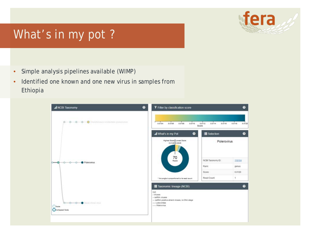

#### What's in my pot ?

- Simple analysis pipelines available (WIMP)
- Identified one known and one new virus in samples from Ethiopia

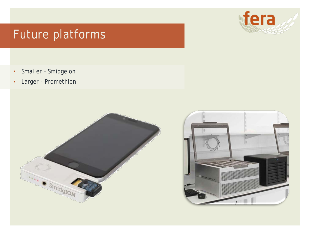#### Future platforms

- Smaller Smidgelon
- Larger PromethIon





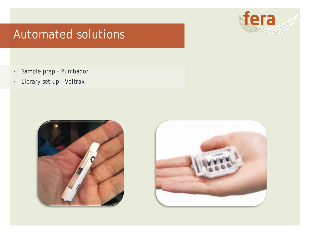#### Automated solutions

- Sample prep Zumbador
- Library set up Voltrax